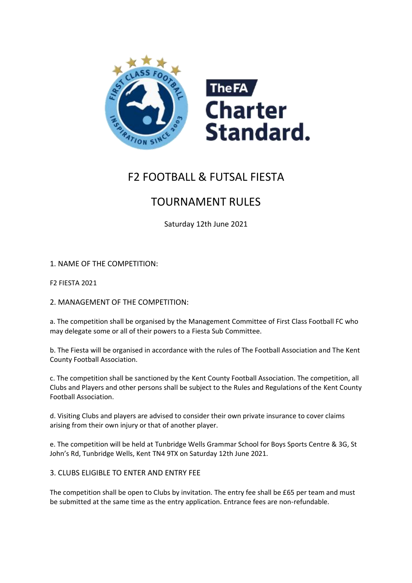

# F2 FOOTBALL & FUTSAL FIESTA

# TOURNAMENT RULES

Saturday 12th June 2021

1. NAME OF THE COMPETITION:

F2 FIESTA 2021

2. MANAGEMENT OF THE COMPETITION:

a. The competition shall be organised by the Management Committee of First Class Football FC who may delegate some or all of their powers to a Fiesta Sub Committee.

b. The Fiesta will be organised in accordance with the rules of The Football Association and The Kent County Football Association.

c. The competition shall be sanctioned by the Kent County Football Association. The competition, all Clubs and Players and other persons shall be subject to the Rules and Regulations of the Kent County Football Association.

d. Visiting Clubs and players are advised to consider their own private insurance to cover claims arising from their own injury or that of another player.

e. The competition will be held at Tunbridge Wells Grammar School for Boys Sports Centre & 3G, St John's Rd, Tunbridge Wells, Kent TN4 9TX on Saturday 12th June 2021.

3. CLUBS ELIGIBLE TO ENTER AND ENTRY FEE

The competition shall be open to Clubs by invitation. The entry fee shall be £65 per team and must be submitted at the same time as the entry application. Entrance fees are non-refundable.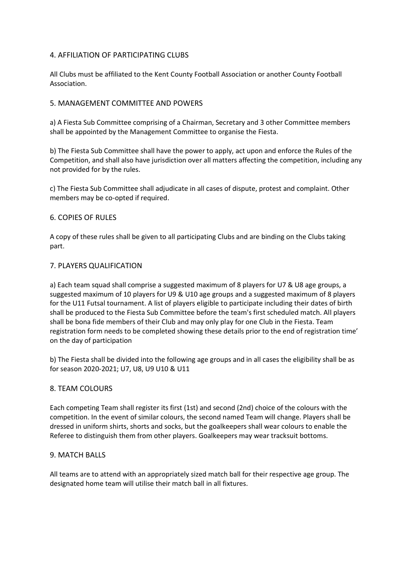# 4. AFFILIATION OF PARTICIPATING CLUBS

All Clubs must be affiliated to the Kent County Football Association or another County Football Association.

# 5. MANAGEMENT COMMITTEE AND POWERS

a) A Fiesta Sub Committee comprising of a Chairman, Secretary and 3 other Committee members shall be appointed by the Management Committee to organise the Fiesta.

b) The Fiesta Sub Committee shall have the power to apply, act upon and enforce the Rules of the Competition, and shall also have jurisdiction over all matters affecting the competition, including any not provided for by the rules.

c) The Fiesta Sub Committee shall adjudicate in all cases of dispute, protest and complaint. Other members may be co-opted if required.

# 6. COPIES OF RULES

A copy of these rules shall be given to all participating Clubs and are binding on the Clubs taking part.

# 7. PLAYERS QUALIFICATION

a) Each team squad shall comprise a suggested maximum of 8 players for U7 & U8 age groups, a suggested maximum of 10 players for U9 & U10 age groups and a suggested maximum of 8 players for the U11 Futsal tournament. A list of players eligible to participate including their dates of birth shall be produced to the Fiesta Sub Committee before the team's first scheduled match. All players shall be bona fide members of their Club and may only play for one Club in the Fiesta. Team registration form needs to be completed showing these details prior to the end of registration time' on the day of participation

b) The Fiesta shall be divided into the following age groups and in all cases the eligibility shall be as for season 2020-2021; U7, U8, U9 U10 & U11

# 8. TEAM COLOURS

Each competing Team shall register its first (1st) and second (2nd) choice of the colours with the competition. In the event of similar colours, the second named Team will change. Players shall be dressed in uniform shirts, shorts and socks, but the goalkeepers shall wear colours to enable the Referee to distinguish them from other players. Goalkeepers may wear tracksuit bottoms.

# 9. MATCH BALLS

All teams are to attend with an appropriately sized match ball for their respective age group. The designated home team will utilise their match ball in all fixtures.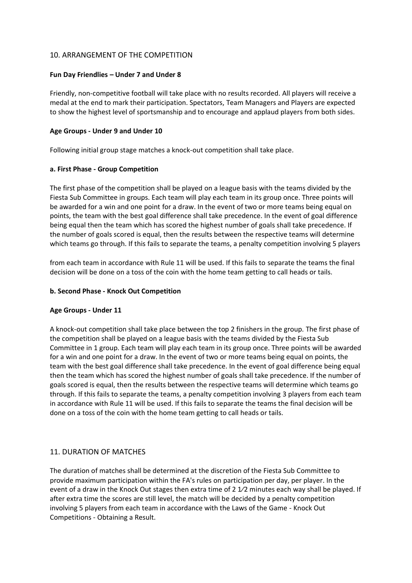## 10. ARRANGEMENT OF THE COMPETITION

## **Fun Day Friendlies – Under 7 and Under 8**

Friendly, non-competitive football will take place with no results recorded. All players will receive a medal at the end to mark their participation. Spectators, Team Managers and Players are expected to show the highest level of sportsmanship and to encourage and applaud players from both sides.

## **Age Groups - Under 9 and Under 10**

Following initial group stage matches a knock-out competition shall take place.

#### **a. First Phase - Group Competition**

The first phase of the competition shall be played on a league basis with the teams divided by the Fiesta Sub Committee in groups. Each team will play each team in its group once. Three points will be awarded for a win and one point for a draw. In the event of two or more teams being equal on points, the team with the best goal difference shall take precedence. In the event of goal difference being equal then the team which has scored the highest number of goals shall take precedence. If the number of goals scored is equal, then the results between the respective teams will determine which teams go through. If this fails to separate the teams, a penalty competition involving 5 players

from each team in accordance with Rule 11 will be used. If this fails to separate the teams the final decision will be done on a toss of the coin with the home team getting to call heads or tails.

#### **b. Second Phase - Knock Out Competition**

## **Age Groups - Under 11**

A knock-out competition shall take place between the top 2 finishers in the group. The first phase of the competition shall be played on a league basis with the teams divided by the Fiesta Sub Committee in 1 group. Each team will play each team in its group once. Three points will be awarded for a win and one point for a draw. In the event of two or more teams being equal on points, the team with the best goal difference shall take precedence. In the event of goal difference being equal then the team which has scored the highest number of goals shall take precedence. If the number of goals scored is equal, then the results between the respective teams will determine which teams go through. If this fails to separate the teams, a penalty competition involving 3 players from each team in accordance with Rule 11 will be used. If this fails to separate the teams the final decision will be done on a toss of the coin with the home team getting to call heads or tails.

## 11. DURATION OF MATCHES

The duration of matches shall be determined at the discretion of the Fiesta Sub Committee to provide maximum participation within the FA's rules on participation per day, per player. In the event of a draw in the Knock Out stages then extra time of 2 1/2 minutes each way shall be played. If after extra time the scores are still level, the match will be decided by a penalty competition involving 5 players from each team in accordance with the Laws of the Game - Knock Out Competitions - Obtaining a Result.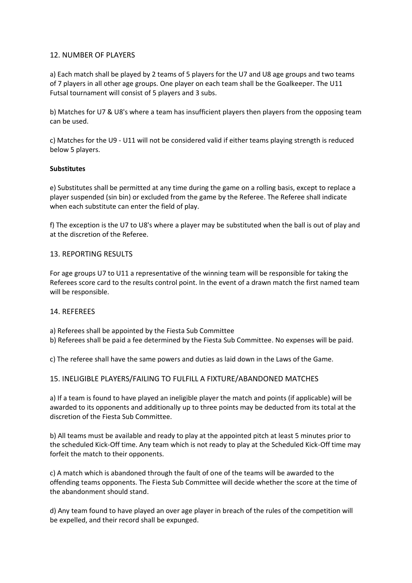# 12. NUMBER OF PLAYERS

a) Each match shall be played by 2 teams of 5 players for the U7 and U8 age groups and two teams of 7 players in all other age groups. One player on each team shall be the Goalkeeper. The U11 Futsal tournament will consist of 5 players and 3 subs.

b) Matches for U7 & U8's where a team has insufficient players then players from the opposing team can be used.

c) Matches for the U9 - U11 will not be considered valid if either teams playing strength is reduced below 5 players.

## **Substitutes**

e) Substitutes shall be permitted at any time during the game on a rolling basis, except to replace a player suspended (sin bin) or excluded from the game by the Referee. The Referee shall indicate when each substitute can enter the field of play.

f) The exception is the U7 to U8's where a player may be substituted when the ball is out of play and at the discretion of the Referee.

# 13. REPORTING RESULTS

For age groups U7 to U11 a representative of the winning team will be responsible for taking the Referees score card to the results control point. In the event of a drawn match the first named team will be responsible.

# 14. REFEREES

a) Referees shall be appointed by the Fiesta Sub Committee

b) Referees shall be paid a fee determined by the Fiesta Sub Committee. No expenses will be paid.

c) The referee shall have the same powers and duties as laid down in the Laws of the Game.

# 15. INELIGIBLE PLAYERS/FAILING TO FULFILL A FIXTURE/ABANDONED MATCHES

a) If a team is found to have played an ineligible player the match and points (if applicable) will be awarded to its opponents and additionally up to three points may be deducted from its total at the discretion of the Fiesta Sub Committee.

b) All teams must be available and ready to play at the appointed pitch at least 5 minutes prior to the scheduled Kick-Off time. Any team which is not ready to play at the Scheduled Kick-Off time may forfeit the match to their opponents.

c) A match which is abandoned through the fault of one of the teams will be awarded to the offending teams opponents. The Fiesta Sub Committee will decide whether the score at the time of the abandonment should stand.

d) Any team found to have played an over age player in breach of the rules of the competition will be expelled, and their record shall be expunged.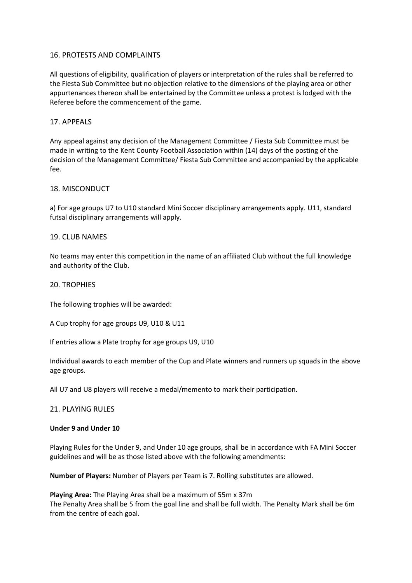## 16. PROTESTS AND COMPLAINTS

All questions of eligibility, qualification of players or interpretation of the rules shall be referred to the Fiesta Sub Committee but no objection relative to the dimensions of the playing area or other appurtenances thereon shall be entertained by the Committee unless a protest is lodged with the Referee before the commencement of the game.

## 17. APPEALS

Any appeal against any decision of the Management Committee / Fiesta Sub Committee must be made in writing to the Kent County Football Association within (14) days of the posting of the decision of the Management Committee/ Fiesta Sub Committee and accompanied by the applicable fee.

## 18. MISCONDUCT

a) For age groups U7 to U10 standard Mini Soccer disciplinary arrangements apply. U11, standard futsal disciplinary arrangements will apply.

## 19. CLUB NAMES

No teams may enter this competition in the name of an affiliated Club without the full knowledge and authority of the Club.

#### 20. TROPHIES

The following trophies will be awarded:

A Cup trophy for age groups U9, U10 & U11

If entries allow a Plate trophy for age groups U9, U10

Individual awards to each member of the Cup and Plate winners and runners up squads in the above age groups.

All U7 and U8 players will receive a medal/memento to mark their participation.

## 21. PLAYING RULES

#### **Under 9 and Under 10**

Playing Rules for the Under 9, and Under 10 age groups, shall be in accordance with FA Mini Soccer guidelines and will be as those listed above with the following amendments:

**Number of Players:** Number of Players per Team is 7. Rolling substitutes are allowed.

**Playing Area:** The Playing Area shall be a maximum of 55m x 37m The Penalty Area shall be 5 from the goal line and shall be full width. The Penalty Mark shall be 6m from the centre of each goal.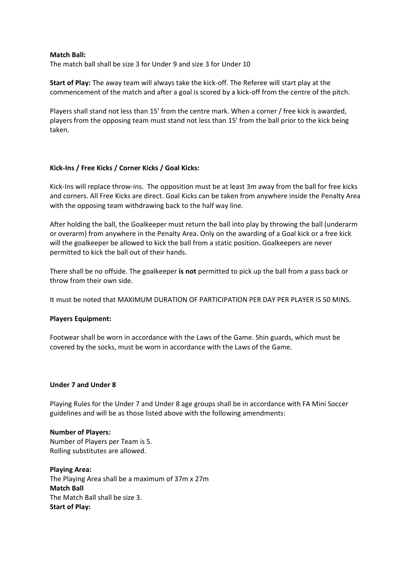#### **Match Ball:**

The match ball shall be size 3 for Under 9 and size 3 for Under 10

**Start of Play:** The away team will always take the kick-off. The Referee will start play at the commencement of the match and after a goal is scored by a kick-off from the centre of the pitch.

Players shall stand not less than 15' from the centre mark. When a corner / free kick is awarded, players from the opposing team must stand not less than 15' from the ball prior to the kick being taken.

## **Kick-Ins / Free Kicks / Corner Kicks / Goal Kicks:**

Kick-Ins will replace throw-ins. The opposition must be at least 3m away from the ball for free kicks and corners. All Free Kicks are direct. Goal Kicks can be taken from anywhere inside the Penalty Area with the opposing team withdrawing back to the half way line.

After holding the ball, the Goalkeeper must return the ball into play by throwing the ball (underarm or overarm) from anywhere in the Penalty Area. Only on the awarding of a Goal kick or a free kick will the goalkeeper be allowed to kick the ball from a static position. Goalkeepers are never permitted to kick the ball out of their hands.

There shall be no offside. The goalkeeper **is not** permitted to pick up the ball from a pass back or throw from their own side.

It must be noted that MAXIMUM DURATION OF PARTICIPATION PER DAY PER PLAYER IS 50 MINS.

## **Players Equipment:**

Footwear shall be worn in accordance with the Laws of the Game. Shin guards, which must be covered by the socks, must be worn in accordance with the Laws of the Game.

#### **Under 7 and Under 8**

Playing Rules for the Under 7 and Under 8 age groups shall be in accordance with FA Mini Soccer guidelines and will be as those listed above with the following amendments:

# **Number of Players:**

Number of Players per Team is 5. Rolling substitutes are allowed.

**Playing Area:** The Playing Area shall be a maximum of 37m x 27m **Match Ball** The Match Ball shall be size 3. **Start of Play:**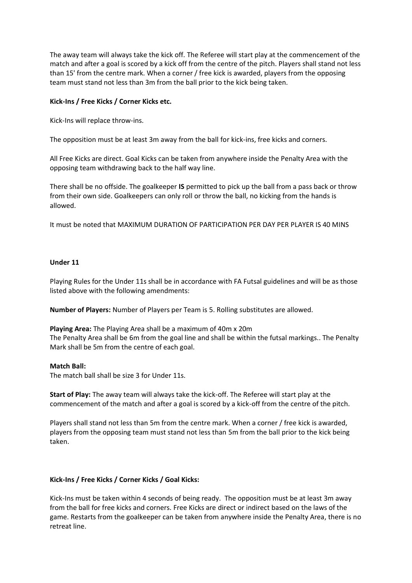The away team will always take the kick off. The Referee will start play at the commencement of the match and after a goal is scored by a kick off from the centre of the pitch. Players shall stand not less than 15' from the centre mark. When a corner / free kick is awarded, players from the opposing team must stand not less than 3m from the ball prior to the kick being taken.

## **Kick-Ins / Free Kicks / Corner Kicks etc.**

Kick-Ins will replace throw-ins.

The opposition must be at least 3m away from the ball for kick-ins, free kicks and corners.

All Free Kicks are direct. Goal Kicks can be taken from anywhere inside the Penalty Area with the opposing team withdrawing back to the half way line.

There shall be no offside. The goalkeeper **IS** permitted to pick up the ball from a pass back or throw from their own side. Goalkeepers can only roll or throw the ball, no kicking from the hands is allowed.

It must be noted that MAXIMUM DURATION OF PARTICIPATION PER DAY PER PLAYER IS 40 MINS

## **Under 11**

Playing Rules for the Under 11s shall be in accordance with FA Futsal guidelines and will be as those listed above with the following amendments:

**Number of Players:** Number of Players per Team is 5. Rolling substitutes are allowed.

**Playing Area:** The Playing Area shall be a maximum of 40m x 20m The Penalty Area shall be 6m from the goal line and shall be within the futsal markings.. The Penalty Mark shall be 5m from the centre of each goal.

## **Match Ball:**

The match ball shall be size 3 for Under 11s.

**Start of Play:** The away team will always take the kick-off. The Referee will start play at the commencement of the match and after a goal is scored by a kick-off from the centre of the pitch.

Players shall stand not less than 5m from the centre mark. When a corner / free kick is awarded, players from the opposing team must stand not less than 5m from the ball prior to the kick being taken.

## **Kick-Ins / Free Kicks / Corner Kicks / Goal Kicks:**

Kick-Ins must be taken within 4 seconds of being ready. The opposition must be at least 3m away from the ball for free kicks and corners. Free Kicks are direct or indirect based on the laws of the game. Restarts from the goalkeeper can be taken from anywhere inside the Penalty Area, there is no retreat line.